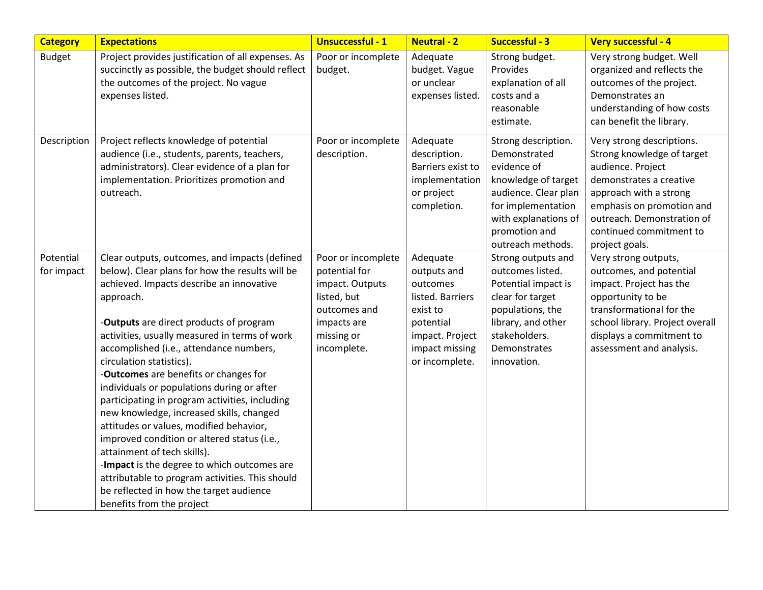| <b>Category</b>         | <b>Expectations</b>                                                                                                                                                                                                                                                                                                                                                                                                                                                                                                                                                                                                                                                                                                                                                                                                  | <b>Unsuccessful - 1</b>                                                                                                           | <b>Neutral - 2</b>                                                                                                                      | Successful - 3                                                                                                                                                                        | Very successful - 4                                                                                                                                                                                                                       |
|-------------------------|----------------------------------------------------------------------------------------------------------------------------------------------------------------------------------------------------------------------------------------------------------------------------------------------------------------------------------------------------------------------------------------------------------------------------------------------------------------------------------------------------------------------------------------------------------------------------------------------------------------------------------------------------------------------------------------------------------------------------------------------------------------------------------------------------------------------|-----------------------------------------------------------------------------------------------------------------------------------|-----------------------------------------------------------------------------------------------------------------------------------------|---------------------------------------------------------------------------------------------------------------------------------------------------------------------------------------|-------------------------------------------------------------------------------------------------------------------------------------------------------------------------------------------------------------------------------------------|
| <b>Budget</b>           | Project provides justification of all expenses. As<br>succinctly as possible, the budget should reflect<br>the outcomes of the project. No vague<br>expenses listed.                                                                                                                                                                                                                                                                                                                                                                                                                                                                                                                                                                                                                                                 | Poor or incomplete<br>budget.                                                                                                     | Adequate<br>budget. Vague<br>or unclear<br>expenses listed.                                                                             | Strong budget.<br>Provides<br>explanation of all<br>costs and a<br>reasonable<br>estimate.                                                                                            | Very strong budget. Well<br>organized and reflects the<br>outcomes of the project.<br>Demonstrates an<br>understanding of how costs<br>can benefit the library.                                                                           |
| Description             | Project reflects knowledge of potential<br>audience (i.e., students, parents, teachers,<br>administrators). Clear evidence of a plan for<br>implementation. Prioritizes promotion and<br>outreach.                                                                                                                                                                                                                                                                                                                                                                                                                                                                                                                                                                                                                   | Poor or incomplete<br>description.                                                                                                | Adequate<br>description.<br>Barriers exist to<br>implementation<br>or project<br>completion.                                            | Strong description.<br>Demonstrated<br>evidence of<br>knowledge of target<br>audience. Clear plan<br>for implementation<br>with explanations of<br>promotion and<br>outreach methods. | Very strong descriptions.<br>Strong knowledge of target<br>audience. Project<br>demonstrates a creative<br>approach with a strong<br>emphasis on promotion and<br>outreach. Demonstration of<br>continued commitment to<br>project goals. |
| Potential<br>for impact | Clear outputs, outcomes, and impacts (defined<br>below). Clear plans for how the results will be<br>achieved. Impacts describe an innovative<br>approach.<br>-Outputs are direct products of program<br>activities, usually measured in terms of work<br>accomplished (i.e., attendance numbers,<br>circulation statistics).<br>-Outcomes are benefits or changes for<br>individuals or populations during or after<br>participating in program activities, including<br>new knowledge, increased skills, changed<br>attitudes or values, modified behavior,<br>improved condition or altered status (i.e.,<br>attainment of tech skills).<br>-Impact is the degree to which outcomes are<br>attributable to program activities. This should<br>be reflected in how the target audience<br>benefits from the project | Poor or incomplete<br>potential for<br>impact. Outputs<br>listed, but<br>outcomes and<br>impacts are<br>missing or<br>incomplete. | Adequate<br>outputs and<br>outcomes<br>listed. Barriers<br>exist to<br>potential<br>impact. Project<br>impact missing<br>or incomplete. | Strong outputs and<br>outcomes listed.<br>Potential impact is<br>clear for target<br>populations, the<br>library, and other<br>stakeholders.<br>Demonstrates<br>innovation.           | Very strong outputs,<br>outcomes, and potential<br>impact. Project has the<br>opportunity to be<br>transformational for the<br>school library. Project overall<br>displays a commitment to<br>assessment and analysis.                    |